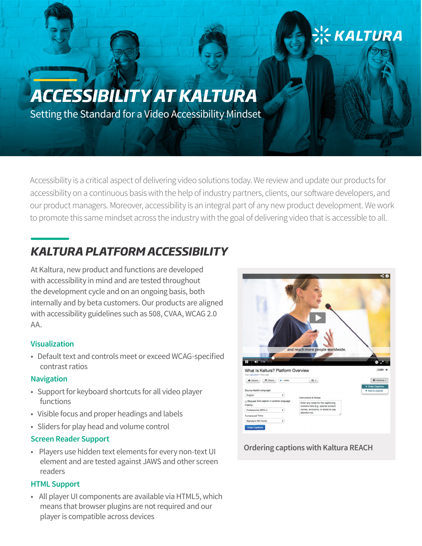# *ACCESSIBILITY AT KALTURA*

Setting the Standard for a Video Accessibility Mindset

Accessibility is a critical aspect of delivering video solutions today. We review and update our products for accessibility on a continuous basis with the help of industry partners, clients, our software developers, and our product managers. Moreover, accessibility is an integral part of any new product development. We work to promote this same mindset across the industry with the goal of delivering video that is accessible to all.

# *KALTURA PLATFORM ACCESSIBILITY*

At Kaltura, new product and functions are developed with accessibility in mind and are tested throughout the development cycle and on an ongoing basis, both internally and by beta customers. Our products are aligned with accessibility guidelines such as 508, CVAA, WCAG 2.0 AA.

### **Visualization**

• Default text and controls meet or exceed WCAG-specified contrast ratios

### **Navigation**

- Support for keyboard shortcuts for all video player functions
- Visible focus and proper headings and labels
- Sliders for play head and volume control

## **Screen Reader Support**

• Players use hidden text elements for every non-text UI element and are tested against JAWS and other screen readers

## **HTML Support**

• All player UI components are available via HTML5, which means that browser plugins are not required and our player is compatible across devices



<u>፡¦</u>← KALTURA

## **Ordering captions with Kaltura REACH**